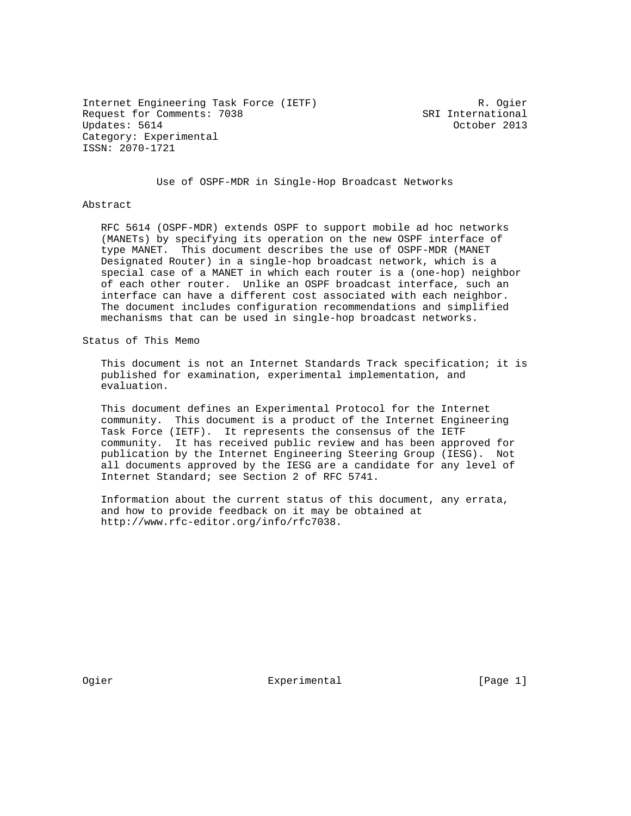Internet Engineering Task Force (IETF) R. Ogier Request for Comments: 7038 SRI International Updates: 5614 October 2013 Category: Experimental ISSN: 2070-1721

Use of OSPF-MDR in Single-Hop Broadcast Networks

## Abstract

 RFC 5614 (OSPF-MDR) extends OSPF to support mobile ad hoc networks (MANETs) by specifying its operation on the new OSPF interface of type MANET. This document describes the use of OSPF-MDR (MANET Designated Router) in a single-hop broadcast network, which is a special case of a MANET in which each router is a (one-hop) neighbor of each other router. Unlike an OSPF broadcast interface, such an interface can have a different cost associated with each neighbor. The document includes configuration recommendations and simplified mechanisms that can be used in single-hop broadcast networks.

Status of This Memo

 This document is not an Internet Standards Track specification; it is published for examination, experimental implementation, and evaluation.

 This document defines an Experimental Protocol for the Internet community. This document is a product of the Internet Engineering Task Force (IETF). It represents the consensus of the IETF community. It has received public review and has been approved for publication by the Internet Engineering Steering Group (IESG). Not all documents approved by the IESG are a candidate for any level of Internet Standard; see Section 2 of RFC 5741.

 Information about the current status of this document, any errata, and how to provide feedback on it may be obtained at http://www.rfc-editor.org/info/rfc7038.

Ogier **Experimental** Experimental [Page 1]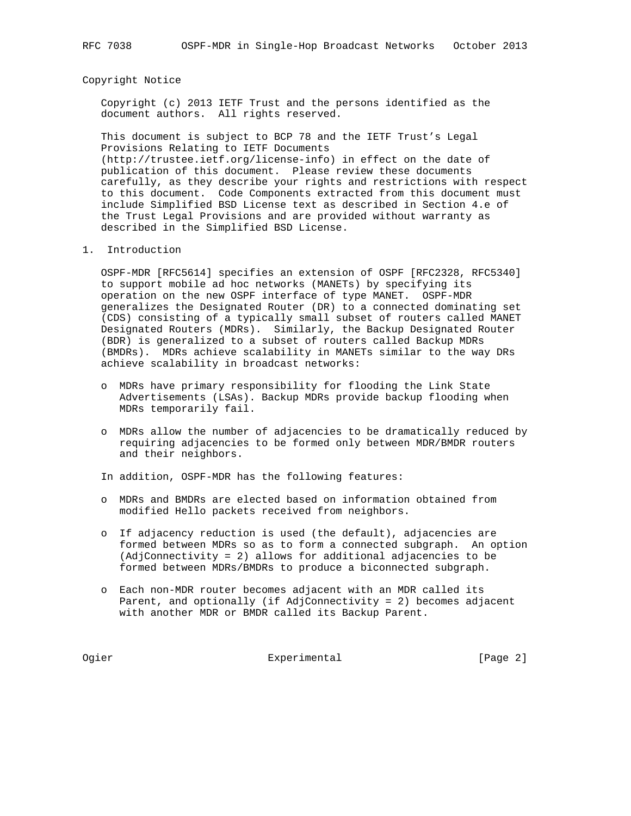Copyright Notice

 Copyright (c) 2013 IETF Trust and the persons identified as the document authors. All rights reserved.

 This document is subject to BCP 78 and the IETF Trust's Legal Provisions Relating to IETF Documents (http://trustee.ietf.org/license-info) in effect on the date of publication of this document. Please review these documents carefully, as they describe your rights and restrictions with respect to this document. Code Components extracted from this document must include Simplified BSD License text as described in Section 4.e of the Trust Legal Provisions and are provided without warranty as described in the Simplified BSD License.

1. Introduction

 OSPF-MDR [RFC5614] specifies an extension of OSPF [RFC2328, RFC5340] to support mobile ad hoc networks (MANETs) by specifying its operation on the new OSPF interface of type MANET. OSPF-MDR generalizes the Designated Router (DR) to a connected dominating set (CDS) consisting of a typically small subset of routers called MANET Designated Routers (MDRs). Similarly, the Backup Designated Router (BDR) is generalized to a subset of routers called Backup MDRs (BMDRs). MDRs achieve scalability in MANETs similar to the way DRs achieve scalability in broadcast networks:

- o MDRs have primary responsibility for flooding the Link State Advertisements (LSAs). Backup MDRs provide backup flooding when MDRs temporarily fail.
- o MDRs allow the number of adjacencies to be dramatically reduced by requiring adjacencies to be formed only between MDR/BMDR routers and their neighbors.

In addition, OSPF-MDR has the following features:

- o MDRs and BMDRs are elected based on information obtained from modified Hello packets received from neighbors.
- o If adjacency reduction is used (the default), adjacencies are formed between MDRs so as to form a connected subgraph. An option (AdjConnectivity = 2) allows for additional adjacencies to be formed between MDRs/BMDRs to produce a biconnected subgraph.
- o Each non-MDR router becomes adjacent with an MDR called its Parent, and optionally (if AdjConnectivity = 2) becomes adjacent with another MDR or BMDR called its Backup Parent.

Ogier **Experimental** Experimental [Page 2]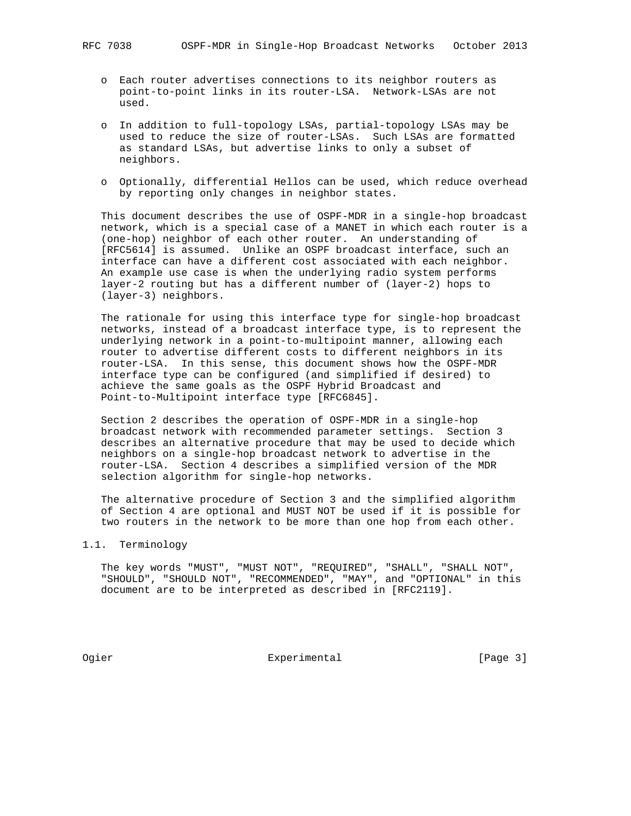- o Each router advertises connections to its neighbor routers as point-to-point links in its router-LSA. Network-LSAs are not used.
- o In addition to full-topology LSAs, partial-topology LSAs may be used to reduce the size of router-LSAs. Such LSAs are formatted as standard LSAs, but advertise links to only a subset of neighbors.
- o Optionally, differential Hellos can be used, which reduce overhead by reporting only changes in neighbor states.

 This document describes the use of OSPF-MDR in a single-hop broadcast network, which is a special case of a MANET in which each router is a (one-hop) neighbor of each other router. An understanding of [RFC5614] is assumed. Unlike an OSPF broadcast interface, such an interface can have a different cost associated with each neighbor. An example use case is when the underlying radio system performs layer-2 routing but has a different number of (layer-2) hops to (layer-3) neighbors.

 The rationale for using this interface type for single-hop broadcast networks, instead of a broadcast interface type, is to represent the underlying network in a point-to-multipoint manner, allowing each router to advertise different costs to different neighbors in its router-LSA. In this sense, this document shows how the OSPF-MDR interface type can be configured (and simplified if desired) to achieve the same goals as the OSPF Hybrid Broadcast and Point-to-Multipoint interface type [RFC6845].

 Section 2 describes the operation of OSPF-MDR in a single-hop broadcast network with recommended parameter settings. Section 3 describes an alternative procedure that may be used to decide which neighbors on a single-hop broadcast network to advertise in the router-LSA. Section 4 describes a simplified version of the MDR selection algorithm for single-hop networks.

 The alternative procedure of Section 3 and the simplified algorithm of Section 4 are optional and MUST NOT be used if it is possible for two routers in the network to be more than one hop from each other.

## 1.1. Terminology

 The key words "MUST", "MUST NOT", "REQUIRED", "SHALL", "SHALL NOT", "SHOULD", "SHOULD NOT", "RECOMMENDED", "MAY", and "OPTIONAL" in this document are to be interpreted as described in [RFC2119].

Ogier **Experimental** [Page 3]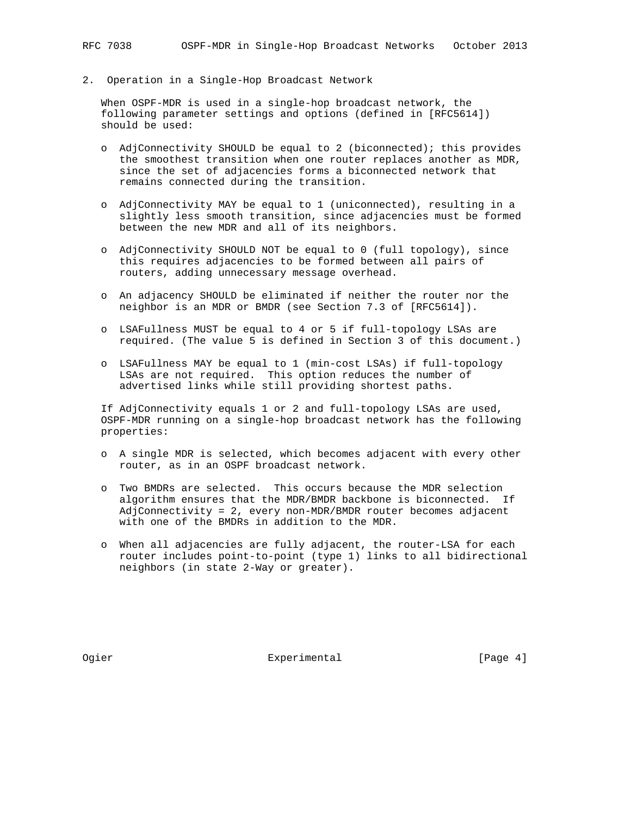2. Operation in a Single-Hop Broadcast Network

 When OSPF-MDR is used in a single-hop broadcast network, the following parameter settings and options (defined in [RFC5614]) should be used:

- o AdjConnectivity SHOULD be equal to 2 (biconnected); this provides the smoothest transition when one router replaces another as MDR, since the set of adjacencies forms a biconnected network that remains connected during the transition.
- o AdjConnectivity MAY be equal to 1 (uniconnected), resulting in a slightly less smooth transition, since adjacencies must be formed between the new MDR and all of its neighbors.
- o AdjConnectivity SHOULD NOT be equal to 0 (full topology), since this requires adjacencies to be formed between all pairs of routers, adding unnecessary message overhead.
- o An adjacency SHOULD be eliminated if neither the router nor the neighbor is an MDR or BMDR (see Section 7.3 of [RFC5614]).
- o LSAFullness MUST be equal to 4 or 5 if full-topology LSAs are required. (The value 5 is defined in Section 3 of this document.)
- o LSAFullness MAY be equal to 1 (min-cost LSAs) if full-topology LSAs are not required. This option reduces the number of advertised links while still providing shortest paths.

 If AdjConnectivity equals 1 or 2 and full-topology LSAs are used, OSPF-MDR running on a single-hop broadcast network has the following properties:

- o A single MDR is selected, which becomes adjacent with every other router, as in an OSPF broadcast network.
- o Two BMDRs are selected. This occurs because the MDR selection algorithm ensures that the MDR/BMDR backbone is biconnected. If AdjConnectivity = 2, every non-MDR/BMDR router becomes adjacent with one of the BMDRs in addition to the MDR.
- o When all adjacencies are fully adjacent, the router-LSA for each router includes point-to-point (type 1) links to all bidirectional neighbors (in state 2-Way or greater).

Ogier **Experimental** Experimental [Page 4]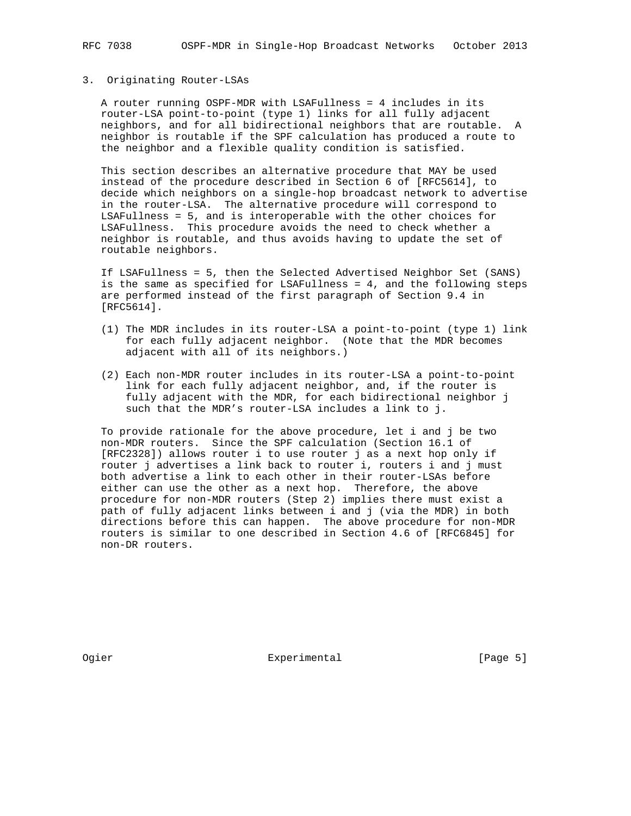## 3. Originating Router-LSAs

 A router running OSPF-MDR with LSAFullness = 4 includes in its router-LSA point-to-point (type 1) links for all fully adjacent neighbors, and for all bidirectional neighbors that are routable. A neighbor is routable if the SPF calculation has produced a route to the neighbor and a flexible quality condition is satisfied.

 This section describes an alternative procedure that MAY be used instead of the procedure described in Section 6 of [RFC5614], to decide which neighbors on a single-hop broadcast network to advertise in the router-LSA. The alternative procedure will correspond to LSAFullness = 5, and is interoperable with the other choices for LSAFullness. This procedure avoids the need to check whether a neighbor is routable, and thus avoids having to update the set of routable neighbors.

 If LSAFullness = 5, then the Selected Advertised Neighbor Set (SANS) is the same as specified for LSAFullness = 4, and the following steps are performed instead of the first paragraph of Section 9.4 in [RFC5614].

- (1) The MDR includes in its router-LSA a point-to-point (type 1) link for each fully adjacent neighbor. (Note that the MDR becomes adjacent with all of its neighbors.)
- (2) Each non-MDR router includes in its router-LSA a point-to-point link for each fully adjacent neighbor, and, if the router is fully adjacent with the MDR, for each bidirectional neighbor j such that the MDR's router-LSA includes a link to j.

 To provide rationale for the above procedure, let i and j be two non-MDR routers. Since the SPF calculation (Section 16.1 of [RFC2328]) allows router i to use router j as a next hop only if router j advertises a link back to router i, routers i and j must both advertise a link to each other in their router-LSAs before either can use the other as a next hop. Therefore, the above procedure for non-MDR routers (Step 2) implies there must exist a path of fully adjacent links between i and j (via the MDR) in both directions before this can happen. The above procedure for non-MDR routers is similar to one described in Section 4.6 of [RFC6845] for non-DR routers.

Ogier **Experimental** [Page 5]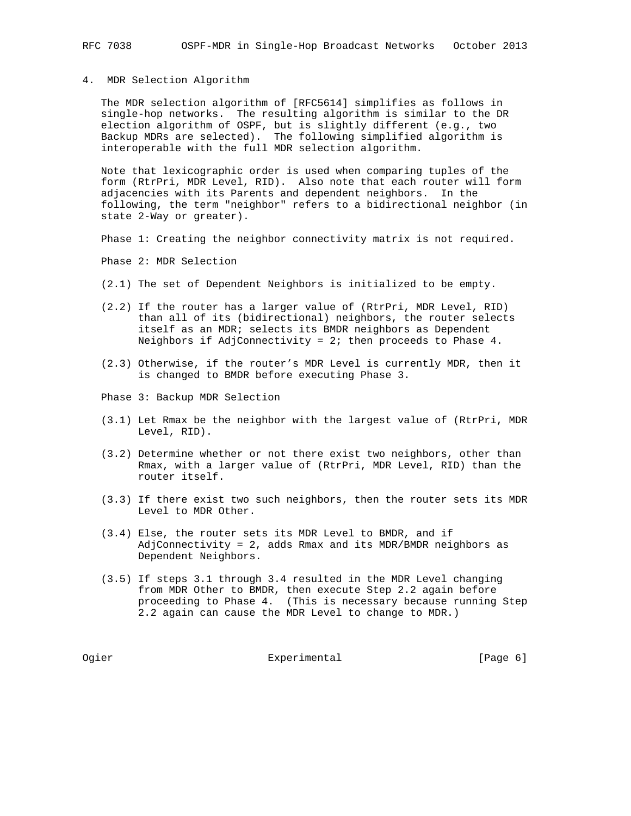## 4. MDR Selection Algorithm

 The MDR selection algorithm of [RFC5614] simplifies as follows in single-hop networks. The resulting algorithm is similar to the DR election algorithm of OSPF, but is slightly different (e.g., two Backup MDRs are selected). The following simplified algorithm is interoperable with the full MDR selection algorithm.

 Note that lexicographic order is used when comparing tuples of the form (RtrPri, MDR Level, RID). Also note that each router will form adjacencies with its Parents and dependent neighbors. In the following, the term "neighbor" refers to a bidirectional neighbor (in state 2-Way or greater).

Phase 1: Creating the neighbor connectivity matrix is not required.

Phase 2: MDR Selection

- (2.1) The set of Dependent Neighbors is initialized to be empty.
- (2.2) If the router has a larger value of (RtrPri, MDR Level, RID) than all of its (bidirectional) neighbors, the router selects itself as an MDR; selects its BMDR neighbors as Dependent Neighbors if AdjConnectivity = 2; then proceeds to Phase 4.
- (2.3) Otherwise, if the router's MDR Level is currently MDR, then it is changed to BMDR before executing Phase 3.
- Phase 3: Backup MDR Selection
- (3.1) Let Rmax be the neighbor with the largest value of (RtrPri, MDR Level, RID).
- (3.2) Determine whether or not there exist two neighbors, other than Rmax, with a larger value of (RtrPri, MDR Level, RID) than the router itself.
- (3.3) If there exist two such neighbors, then the router sets its MDR Level to MDR Other.
- (3.4) Else, the router sets its MDR Level to BMDR, and if AdjConnectivity = 2, adds Rmax and its MDR/BMDR neighbors as Dependent Neighbors.
- (3.5) If steps 3.1 through 3.4 resulted in the MDR Level changing from MDR Other to BMDR, then execute Step 2.2 again before proceeding to Phase 4. (This is necessary because running Step 2.2 again can cause the MDR Level to change to MDR.)

Ogier **Experimental** Experimental [Page 6]